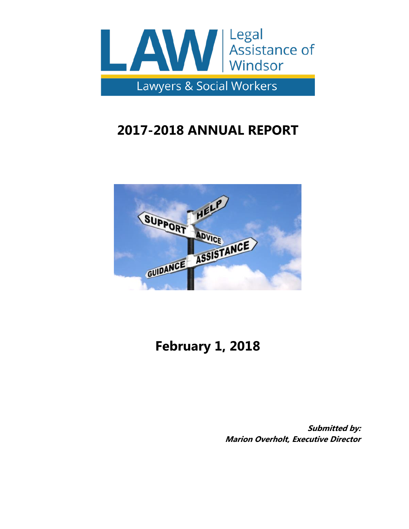

# **2017-2018 ANNUAL REPORT**



# **February 1, 2018**

**Submitted by: Marion Overholt, Executive Director**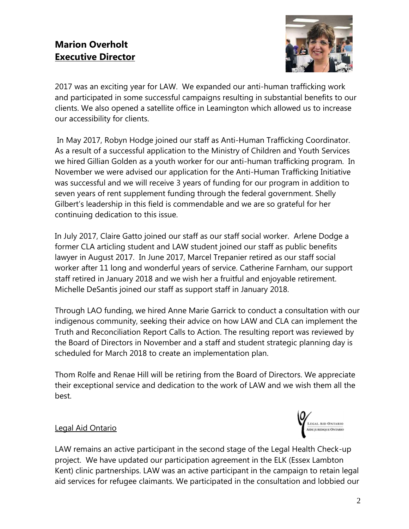# **Marion Overholt Executive Director**



2017 was an exciting year for LAW. We expanded our anti-human trafficking work and participated in some successful campaigns resulting in substantial benefits to our clients. We also opened a satellite office in Leamington which allowed us to increase our accessibility for clients.

In May 2017, Robyn Hodge joined our staff as Anti-Human Trafficking Coordinator. As a result of a successful application to the Ministry of Children and Youth Services we hired Gillian Golden as a youth worker for our anti-human trafficking program. In November we were advised our application for the Anti-Human Trafficking Initiative was successful and we will receive 3 years of funding for our program in addition to seven years of rent supplement funding through the federal government. Shelly Gilbert's leadership in this field is commendable and we are so grateful for her continuing dedication to this issue.

In July 2017, Claire Gatto joined our staff as our staff social worker. Arlene Dodge a former CLA articling student and LAW student joined our staff as public benefits lawyer in August 2017. In June 2017, Marcel Trepanier retired as our staff social worker after 11 long and wonderful years of service. Catherine Farnham, our support staff retired in January 2018 and we wish her a fruitful and enjoyable retirement. Michelle DeSantis joined our staff as support staff in January 2018.

Through LAO funding, we hired Anne Marie Garrick to conduct a consultation with our indigenous community, seeking their advice on how LAW and CLA can implement the Truth and Reconciliation Report Calls to Action. The resulting report was reviewed by the Board of Directors in November and a staff and student strategic planning day is scheduled for March 2018 to create an implementation plan.

Thom Rolfe and Renae Hill will be retiring from the Board of Directors. We appreciate their exceptional service and dedication to the work of LAW and we wish them all the best.



# Legal Aid Ontario

LAW remains an active participant in the second stage of the Legal Health Check-up project. We have updated our participation agreement in the ELK (Essex Lambton Kent) clinic partnerships. LAW was an active participant in the campaign to retain legal aid services for refugee claimants. We participated in the consultation and lobbied our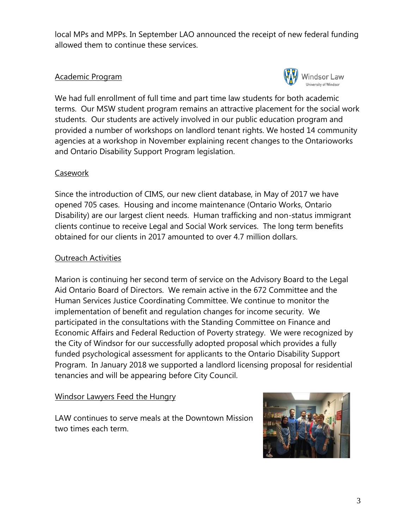local MPs and MPPs. In September LAO announced the receipt of new federal funding allowed them to continue these services.

### Academic Program



We had full enrollment of full time and part time law students for both academic terms. Our MSW student program remains an attractive placement for the social work students. Our students are actively involved in our public education program and provided a number of workshops on landlord tenant rights. We hosted 14 community agencies at a workshop in November explaining recent changes to the Ontarioworks and Ontario Disability Support Program legislation.

#### Casework

Since the introduction of CIMS, our new client database, in May of 2017 we have opened 705 cases. Housing and income maintenance (Ontario Works, Ontario Disability) are our largest client needs. Human trafficking and non-status immigrant clients continue to receive Legal and Social Work services. The long term benefits obtained for our clients in 2017 amounted to over 4.7 million dollars.

### Outreach Activities

Marion is continuing her second term of service on the Advisory Board to the Legal Aid Ontario Board of Directors. We remain active in the 672 Committee and the Human Services Justice Coordinating Committee. We continue to monitor the implementation of benefit and regulation changes for income security. We participated in the consultations with the Standing Committee on Finance and Economic Affairs and Federal Reduction of Poverty strategy. We were recognized by the City of Windsor for our successfully adopted proposal which provides a fully funded psychological assessment for applicants to the Ontario Disability Support Program. In January 2018 we supported a landlord licensing proposal for residential tenancies and will be appearing before City Council.

#### Windsor Lawyers Feed the Hungry

LAW continues to serve meals at the Downtown Mission two times each term.

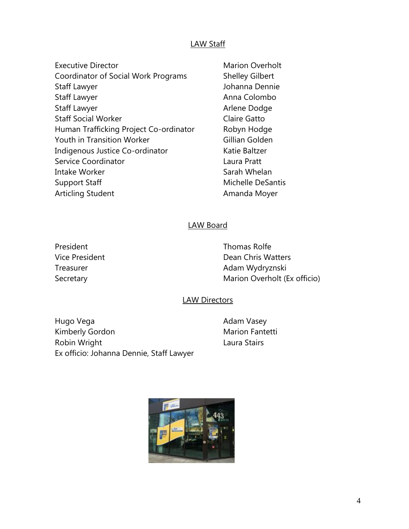#### LAW Staff

- Executive Director **Marion Overholt Executive Director** Coordinator of Social Work Programs Shelley Gilbert Staff Lawyer Johanna Dennie Staff Lawyer **Anna Colombo Anna Colombo** Staff Lawyer **Arlene Dodge Arlene Dodge Staff Social Worker Claire Gatto** Human Trafficking Project Co-ordinator Robyn Hodge Youth in Transition Worker Gillian Golden Indigenous Justice Co-ordinator Katie Baltzer Service Coordinator **Laura Pratt** Intake Worker **Sarah Whelan** Support Staff Michelle DeSantis Articling Student **Amanda Moyer** 
	-

#### LAW Board

President **Thomas Rolfe** Vice President **Dean Chris Watters** Treasurer **Adam Wydryznski** Secretary **Marion Overholt (Ex officio)** Marion Overholt (Ex officio)

#### LAW Directors

Hugo Vega **Adam Vasey** Adam Vasey Kimberly Gordon Marion Fantetti Robin Wright **Laura Stairs** Ex officio: Johanna Dennie, Staff Lawyer

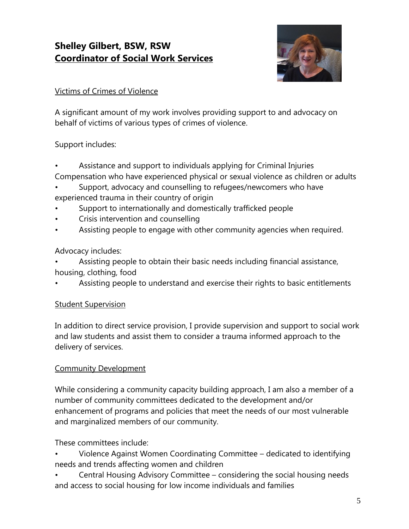# **Shelley Gilbert, BSW, RSW Coordinator of Social Work Services**



# Victims of Crimes of Violence

A significant amount of my work involves providing support to and advocacy on behalf of victims of various types of crimes of violence.

### Support includes:

- Assistance and support to individuals applying for Criminal Injuries
- Compensation who have experienced physical or sexual violence as children or adults
- Support, advocacy and counselling to refugees/newcomers who have experienced trauma in their country of origin
- Support to internationally and domestically trafficked people
- Crisis intervention and counselling
- Assisting people to engage with other community agencies when required.

# Advocacy includes:

- Assisting people to obtain their basic needs including financial assistance, housing, clothing, food
- Assisting people to understand and exercise their rights to basic entitlements

# **Student Supervision**

In addition to direct service provision, I provide supervision and support to social work and law students and assist them to consider a trauma informed approach to the delivery of services.

# Community Development

While considering a community capacity building approach, I am also a member of a number of community committees dedicated to the development and/or enhancement of programs and policies that meet the needs of our most vulnerable and marginalized members of our community.

These committees include:

• Violence Against Women Coordinating Committee – dedicated to identifying needs and trends affecting women and children

• Central Housing Advisory Committee – considering the social housing needs and access to social housing for low income individuals and families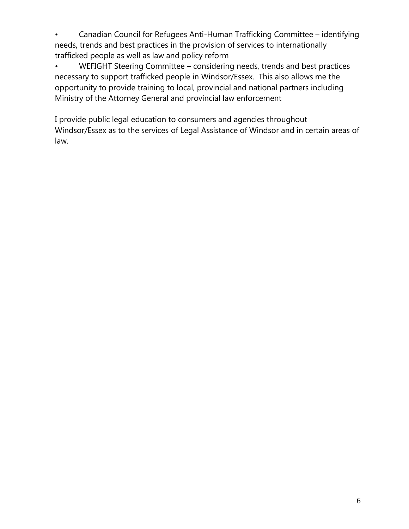• Canadian Council for Refugees Anti-Human Trafficking Committee – identifying needs, trends and best practices in the provision of services to internationally trafficked people as well as law and policy reform

• WEFIGHT Steering Committee – considering needs, trends and best practices necessary to support trafficked people in Windsor/Essex. This also allows me the opportunity to provide training to local, provincial and national partners including Ministry of the Attorney General and provincial law enforcement

I provide public legal education to consumers and agencies throughout Windsor/Essex as to the services of Legal Assistance of Windsor and in certain areas of law.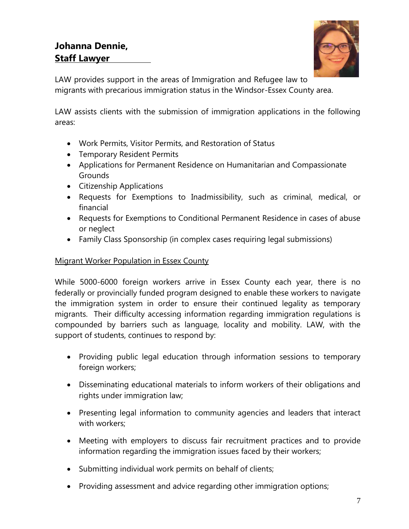# **Johanna Dennie, Staff Lawyer**



LAW provides support in the areas of Immigration and Refugee law to migrants with precarious immigration status in the Windsor-Essex County area.

LAW assists clients with the submission of immigration applications in the following areas:

- Work Permits, Visitor Permits, and Restoration of Status
- Temporary Resident Permits
- Applications for Permanent Residence on Humanitarian and Compassionate Grounds
- Citizenship Applications
- Requests for Exemptions to Inadmissibility, such as criminal, medical, or financial
- Requests for Exemptions to Conditional Permanent Residence in cases of abuse or neglect
- Family Class Sponsorship (in complex cases requiring legal submissions)

# Migrant Worker Population in Essex County

While 5000-6000 foreign workers arrive in Essex County each year, there is no federally or provincially funded program designed to enable these workers to navigate the immigration system in order to ensure their continued legality as temporary migrants. Their difficulty accessing information regarding immigration regulations is compounded by barriers such as language, locality and mobility. LAW, with the support of students, continues to respond by:

- Providing public legal education through information sessions to temporary foreign workers;
- Disseminating educational materials to inform workers of their obligations and rights under immigration law;
- Presenting legal information to community agencies and leaders that interact with workers;
- Meeting with employers to discuss fair recruitment practices and to provide information regarding the immigration issues faced by their workers;
- Submitting individual work permits on behalf of clients;
- Providing assessment and advice regarding other immigration options;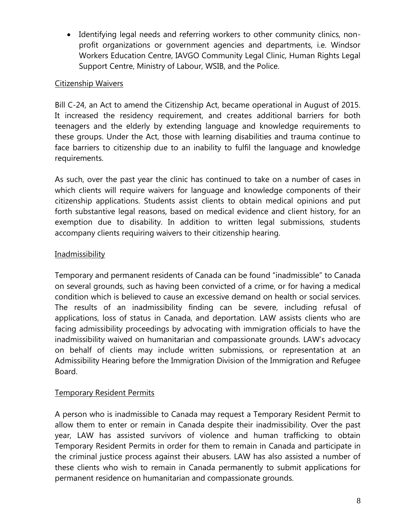Identifying legal needs and referring workers to other community clinics, nonprofit organizations or government agencies and departments, i.e. Windsor Workers Education Centre, IAVGO Community Legal Clinic, Human Rights Legal Support Centre, Ministry of Labour, WSIB, and the Police.

#### Citizenship Waivers

Bill C-24, an Act to amend the Citizenship Act, became operational in August of 2015. It increased the residency requirement, and creates additional barriers for both teenagers and the elderly by extending language and knowledge requirements to these groups. Under the Act, those with learning disabilities and trauma continue to face barriers to citizenship due to an inability to fulfil the language and knowledge requirements.

As such, over the past year the clinic has continued to take on a number of cases in which clients will require waivers for language and knowledge components of their citizenship applications. Students assist clients to obtain medical opinions and put forth substantive legal reasons, based on medical evidence and client history, for an exemption due to disability. In addition to written legal submissions, students accompany clients requiring waivers to their citizenship hearing.

# **Inadmissibility**

Temporary and permanent residents of Canada can be found "inadmissible" to Canada on several grounds, such as having been convicted of a crime, or for having a medical condition which is believed to cause an excessive demand on health or social services. The results of an inadmissibility finding can be severe, including refusal of applications, loss of status in Canada, and deportation. LAW assists clients who are facing admissibility proceedings by advocating with immigration officials to have the inadmissibility waived on humanitarian and compassionate grounds. LAW's advocacy on behalf of clients may include written submissions, or representation at an Admissibility Hearing before the Immigration Division of the Immigration and Refugee Board.

#### Temporary Resident Permits

A person who is inadmissible to Canada may request a Temporary Resident Permit to allow them to enter or remain in Canada despite their inadmissibility. Over the past year, LAW has assisted survivors of violence and human trafficking to obtain Temporary Resident Permits in order for them to remain in Canada and participate in the criminal justice process against their abusers. LAW has also assisted a number of these clients who wish to remain in Canada permanently to submit applications for permanent residence on humanitarian and compassionate grounds.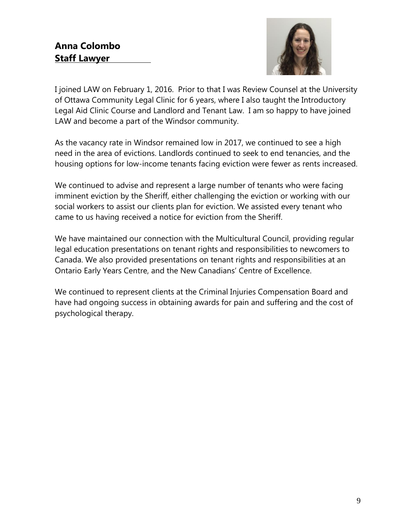

I joined LAW on February 1, 2016. Prior to that I was Review Counsel at the University of Ottawa Community Legal Clinic for 6 years, where I also taught the Introductory Legal Aid Clinic Course and Landlord and Tenant Law. I am so happy to have joined LAW and become a part of the Windsor community.

As the vacancy rate in Windsor remained low in 2017, we continued to see a high need in the area of evictions. Landlords continued to seek to end tenancies, and the housing options for low-income tenants facing eviction were fewer as rents increased.

We continued to advise and represent a large number of tenants who were facing imminent eviction by the Sheriff, either challenging the eviction or working with our social workers to assist our clients plan for eviction. We assisted every tenant who came to us having received a notice for eviction from the Sheriff.

We have maintained our connection with the Multicultural Council, providing regular legal education presentations on tenant rights and responsibilities to newcomers to Canada. We also provided presentations on tenant rights and responsibilities at an Ontario Early Years Centre, and the New Canadians' Centre of Excellence.

We continued to represent clients at the Criminal Injuries Compensation Board and have had ongoing success in obtaining awards for pain and suffering and the cost of psychological therapy.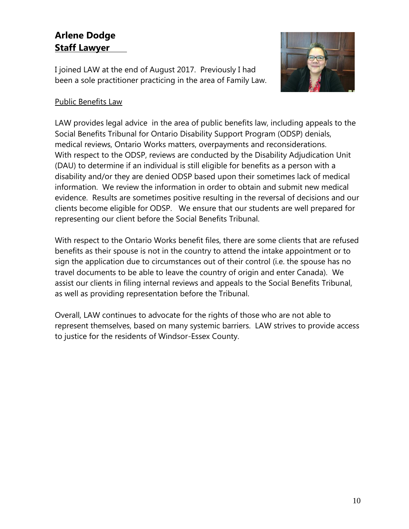# **Arlene Dodge Staff Lawyer**

I joined LAW at the end of August 2017. Previously I had been a sole practitioner practicing in the area of Family Law.



# Public Benefits Law

LAW provides legal advice in the area of public benefits law, including appeals to the Social Benefits Tribunal for Ontario Disability Support Program (ODSP) denials, medical reviews, Ontario Works matters, overpayments and reconsiderations. With respect to the ODSP, reviews are conducted by the Disability Adjudication Unit (DAU) to determine if an individual is still eligible for benefits as a person with a disability and/or they are denied ODSP based upon their sometimes lack of medical information. We review the information in order to obtain and submit new medical evidence. Results are sometimes positive resulting in the reversal of decisions and our clients become eligible for ODSP. We ensure that our students are well prepared for representing our client before the Social Benefits Tribunal.

With respect to the Ontario Works benefit files, there are some clients that are refused benefits as their spouse is not in the country to attend the intake appointment or to sign the application due to circumstances out of their control (i.e. the spouse has no travel documents to be able to leave the country of origin and enter Canada). We assist our clients in filing internal reviews and appeals to the Social Benefits Tribunal, as well as providing representation before the Tribunal.

Overall, LAW continues to advocate for the rights of those who are not able to represent themselves, based on many systemic barriers. LAW strives to provide access to justice for the residents of Windsor-Essex County.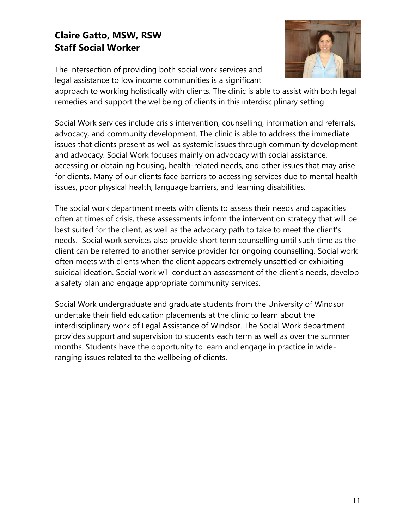# **Claire Gatto, MSW, RSW Staff Social Worker**



The intersection of providing both social work services and legal assistance to low income communities is a significant

approach to working holistically with clients. The clinic is able to assist with both legal remedies and support the wellbeing of clients in this interdisciplinary setting.

Social Work services include crisis intervention, counselling, information and referrals, advocacy, and community development. The clinic is able to address the immediate issues that clients present as well as systemic issues through community development and advocacy. Social Work focuses mainly on advocacy with social assistance, accessing or obtaining housing, health-related needs, and other issues that may arise for clients. Many of our clients face barriers to accessing services due to mental health issues, poor physical health, language barriers, and learning disabilities.

The social work department meets with clients to assess their needs and capacities often at times of crisis, these assessments inform the intervention strategy that will be best suited for the client, as well as the advocacy path to take to meet the client's needs. Social work services also provide short term counselling until such time as the client can be referred to another service provider for ongoing counselling. Social work often meets with clients when the client appears extremely unsettled or exhibiting suicidal ideation. Social work will conduct an assessment of the client's needs, develop a safety plan and engage appropriate community services.

Social Work undergraduate and graduate students from the University of Windsor undertake their field education placements at the clinic to learn about the interdisciplinary work of Legal Assistance of Windsor. The Social Work department provides support and supervision to students each term as well as over the summer months. Students have the opportunity to learn and engage in practice in wideranging issues related to the wellbeing of clients.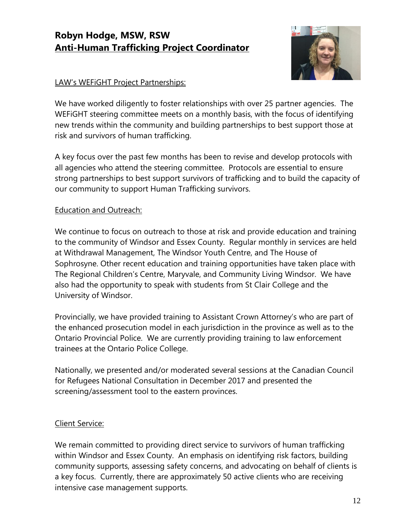# **Robyn Hodge, MSW, RSW Anti-Human Trafficking Project Coordinator**



# LAW's WEFiGHT Project Partnerships:

We have worked diligently to foster relationships with over 25 partner agencies. The WEFiGHT steering committee meets on a monthly basis, with the focus of identifying new trends within the community and building partnerships to best support those at risk and survivors of human trafficking.

A key focus over the past few months has been to revise and develop protocols with all agencies who attend the steering committee. Protocols are essential to ensure strong partnerships to best support survivors of trafficking and to build the capacity of our community to support Human Trafficking survivors.

### Education and Outreach:

We continue to focus on outreach to those at risk and provide education and training to the community of Windsor and Essex County. Regular monthly in services are held at Withdrawal Management, The Windsor Youth Centre, and The House of Sophrosyne. Other recent education and training opportunities have taken place with The Regional Children's Centre, Maryvale, and Community Living Windsor. We have also had the opportunity to speak with students from St Clair College and the University of Windsor.

Provincially, we have provided training to Assistant Crown Attorney's who are part of the enhanced prosecution model in each jurisdiction in the province as well as to the Ontario Provincial Police. We are currently providing training to law enforcement trainees at the Ontario Police College.

Nationally, we presented and/or moderated several sessions at the Canadian Council for Refugees National Consultation in December 2017 and presented the screening/assessment tool to the eastern provinces.

#### Client Service:

We remain committed to providing direct service to survivors of human trafficking within Windsor and Essex County. An emphasis on identifying risk factors, building community supports, assessing safety concerns, and advocating on behalf of clients is a key focus. Currently, there are approximately 50 active clients who are receiving intensive case management supports.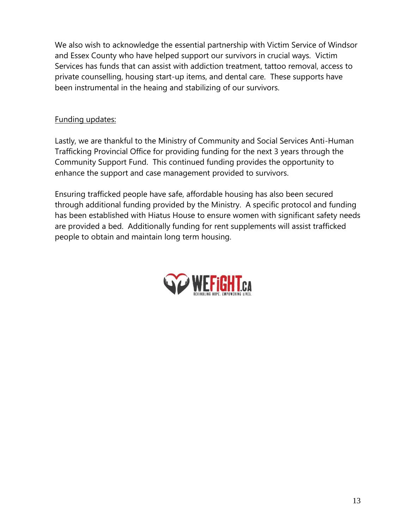We also wish to acknowledge the essential partnership with Victim Service of Windsor and Essex County who have helped support our survivors in crucial ways. Victim Services has funds that can assist with addiction treatment, tattoo removal, access to private counselling, housing start-up items, and dental care. These supports have been instrumental in the heaing and stabilizing of our survivors.

# Funding updates:

Lastly, we are thankful to the Ministry of Community and Social Services Anti-Human Trafficking Provincial Office for providing funding for the next 3 years through the Community Support Fund. This continued funding provides the opportunity to enhance the support and case management provided to survivors.

Ensuring trafficked people have safe, affordable housing has also been secured through additional funding provided by the Ministry. A specific protocol and funding has been established with Hiatus House to ensure women with significant safety needs are provided a bed. Additionally funding for rent supplements will assist trafficked people to obtain and maintain long term housing.

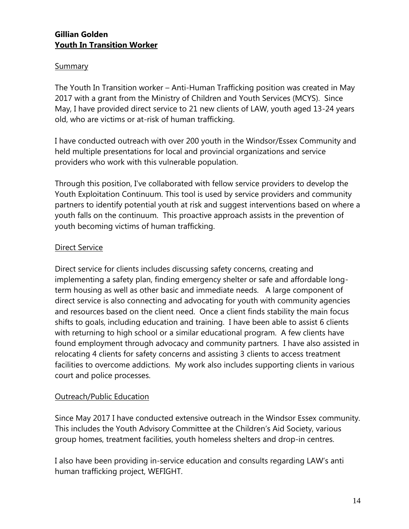#### **Gillian Golden Youth In Transition Worker**

#### Summary

The Youth In Transition worker – Anti-Human Trafficking position was created in May 2017 with a grant from the Ministry of Children and Youth Services (MCYS). Since May, I have provided direct service to 21 new clients of LAW, youth aged 13-24 years old, who are victims or at-risk of human trafficking.

I have conducted outreach with over 200 youth in the Windsor/Essex Community and held multiple presentations for local and provincial organizations and service providers who work with this vulnerable population.

Through this position, I've collaborated with fellow service providers to develop the Youth Exploitation Continuum. This tool is used by service providers and community partners to identify potential youth at risk and suggest interventions based on where a youth falls on the continuum. This proactive approach assists in the prevention of youth becoming victims of human trafficking.

### Direct Service

Direct service for clients includes discussing safety concerns, creating and implementing a safety plan, finding emergency shelter or safe and affordable longterm housing as well as other basic and immediate needs. A large component of direct service is also connecting and advocating for youth with community agencies and resources based on the client need. Once a client finds stability the main focus shifts to goals, including education and training. I have been able to assist 6 clients with returning to high school or a similar educational program. A few clients have found employment through advocacy and community partners. I have also assisted in relocating 4 clients for safety concerns and assisting 3 clients to access treatment facilities to overcome addictions. My work also includes supporting clients in various court and police processes.

#### Outreach/Public Education

Since May 2017 I have conducted extensive outreach in the Windsor Essex community. This includes the Youth Advisory Committee at the Children's Aid Society, various group homes, treatment facilities, youth homeless shelters and drop-in centres.

I also have been providing in-service education and consults regarding LAW's anti human trafficking project, WEFIGHT.